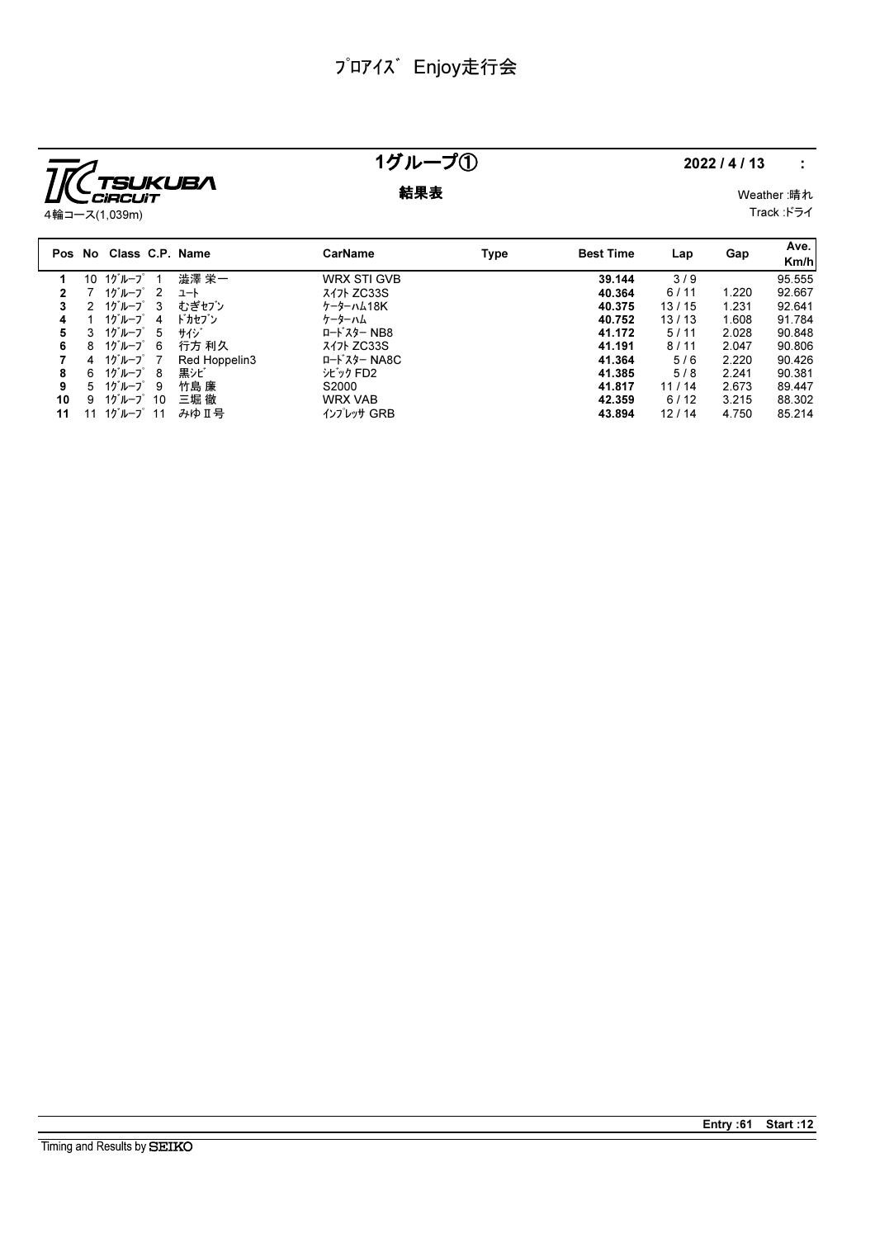

### 1グループ① 2022/4/13 :

**結果表** Weather :晴れ Track :ドライ

|    |    | Pos No Class C.P. Name                |               | CarName                                   | Type | <b>Best Time</b> | Lap   | Gap   | Ave.<br>Km/h |
|----|----|---------------------------------------|---------------|-------------------------------------------|------|------------------|-------|-------|--------------|
|    | 10 | 1グループ                                 | 澁澤 栄一         | <b>WRX STI GVB</b>                        |      | 39.144           | 3/9   |       | 95.555       |
|    |    | $10^{\circ}$ $\mu$ $-7^{\circ}$ 2     | ュート           | <b>3471 ZC33S</b>                         |      | 40.364           | 6/11  | 1.220 | 92.667       |
| 3  |    | $10^{\circ}$ $\mu$ $-2^{\circ}$ 3     | むぎセブン         | ケーターハム18K                                 |      | 40.375           | 13/15 | 1.231 | 92.641       |
| 4  |    | 1グループ<br>4                            | ドカセブン         | ケーターハム                                    |      | 40.752           | 13/13 | 1.608 | 91.784       |
| 5  | 3  | 1グループ<br>5                            | サイジ           | ロート・スター NB8                               |      | 41.172           | 5/11  | 2.028 | 90.848       |
| 6  | 8  | 1グループ<br>- 6                          | 行方 利久         | <b>3471 ZC33S</b>                         |      | 41.191           | 8/11  | 2.047 | 90.806       |
|    | 4  | 1グループ 7                               | Red Hoppelin3 | $I - K^2$<br>$\lambda$ $\lambda$ $-$ NA8C |      | 41.364           | 5/6   | 2.220 | 90.426       |
| 8  |    | $6 \t10^{\circ}$ $\mu$ $ 7^{\circ}$ 8 | 黒シビ           | シビック FD2                                  |      | 41.385           | 5/8   | 2.241 | 90.381       |
| 9  | 5  | 1グループ9                                | 竹島 廉          | S2000                                     |      | 41.817           | 11/14 | 2.673 | 89.447       |
| 10 | 9. | $10^{\circ}$ I $-7^{\circ}$ 10        | 三堀 徹          | <b>WRX VAB</b>                            |      | 42.359           | 6/12  | 3.215 | 88.302       |
| 11 | 11 | $10^{\circ}$ I $-7^{\circ}$ 11        | みゆⅡ号          | インプレッサ GRB                                |      | 43.894           | 12/14 | 4.750 | 85.214       |

Entry :61 Start :12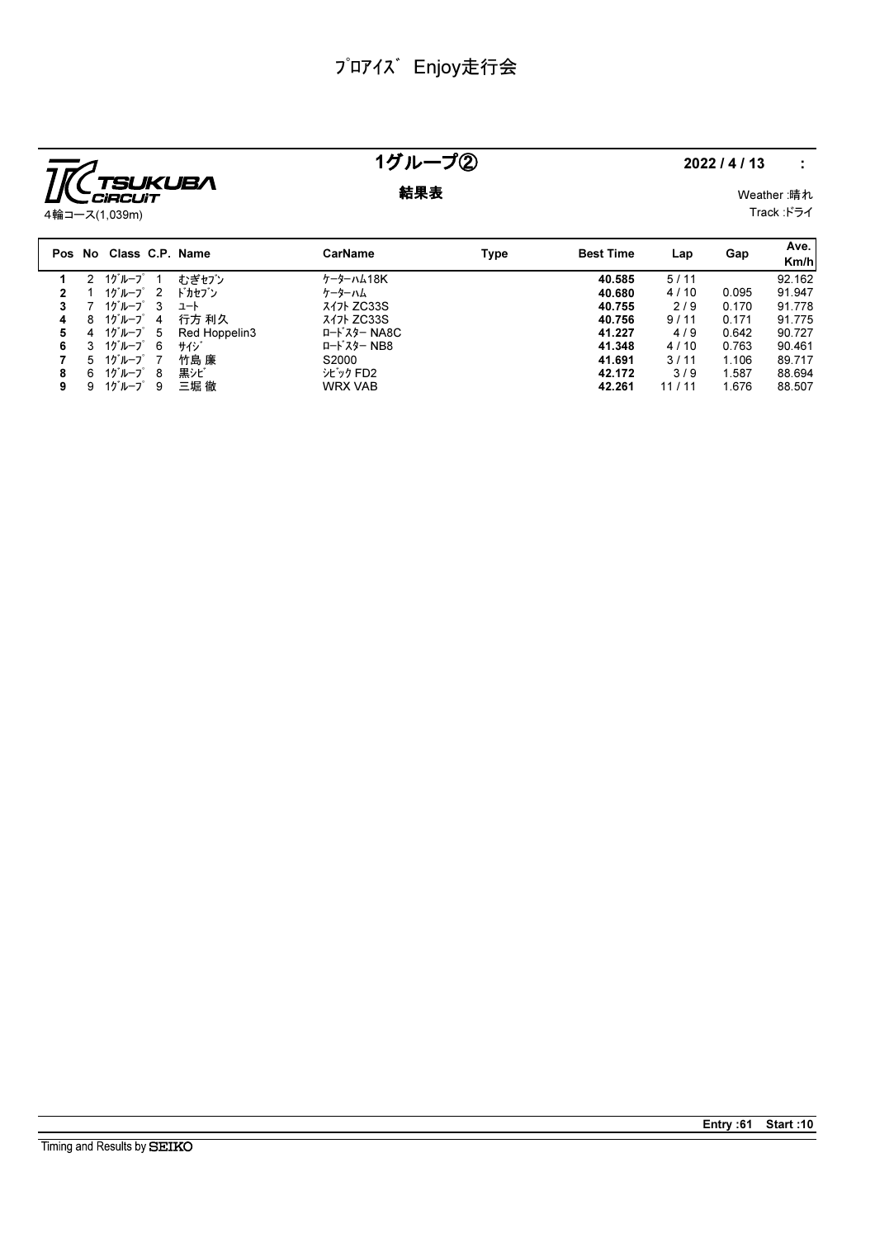

## 1グループ② 2022/4/13 :

**結果表** Weather :晴れ

Track :ドライ

|   |        | Pos No Class C.P. Name |    |               | <b>CarName</b>    | Type | <b>Best Time</b> | Lap   | Gap   | Ave.<br>Km/h |
|---|--------|------------------------|----|---------------|-------------------|------|------------------|-------|-------|--------------|
|   | $^{2}$ | 1グループ 1                |    | むぎセブン         | ケーターハム18K         |      | 40.585           | 5/11  |       | 92.162       |
| 2 |        | 1グループ 2                |    | ドカセブン         | ケーターハム            |      | 40.680           | 4/10  | 0.095 | 91.947       |
| 3 |        | 1グループ 3                |    | ユート           | <b>3471 ZC33S</b> |      | 40.755           | 2/9   | 0.170 | 91.778       |
| 4 | 8      | 1グループ 4                |    | 行方 利久         | 317 ZC33S         |      | 40.756           | 9/11  | 0.171 | 91.775       |
| 5 | 4      | 1ゲループ 5                |    | Red Hoppelin3 | ロードスター NA8C       |      | 41.227           | 4/9   | 0.642 | 90.727       |
| 6 | 3      | 1グループ 6                |    | サイジ           | ロードスター NB8        |      | 41.348           | 4/10  | 0.763 | 90.461       |
|   | 5.     | 1グループ 7                |    | 竹島 廉          | S2000             |      | 41.691           | 3/11  | 1.106 | 89.717       |
| 8 | 6.     | 1グループ 8                |    | 黒シビ           | シビック FD2          |      | 42.172           | 3/9   | 1.587 | 88.694       |
| 9 | 9      | 1グループ                  | -9 | 三堀 徹          | <b>WRX VAB</b>    |      | 42.261           | 11/11 | 1.676 | 88.507       |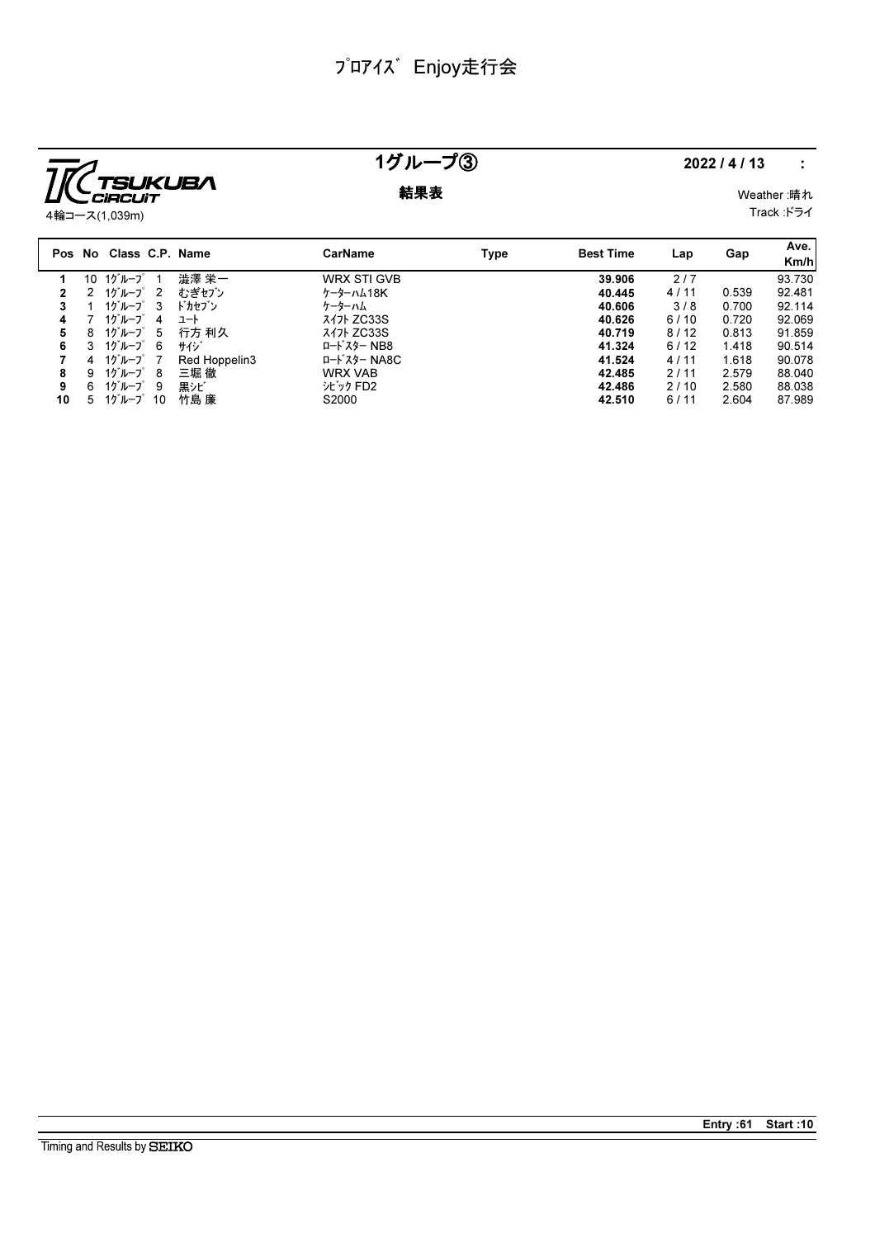

### 1グループ③ 2022/4/13 :

### **結果表** Weather :晴れ

Track :ドライ

|    |    | Pos No Class C.P. Name            |                |               | <b>CarName</b>     | Type | <b>Best Time</b> | Lap  | Gap   | Ave.<br>Km/h |
|----|----|-----------------------------------|----------------|---------------|--------------------|------|------------------|------|-------|--------------|
|    | 10 | 1グループ                             |                | 澁澤 栄一         | <b>WRX STI GVB</b> |      | 39.906           | 2/7  |       | 93.730       |
|    |    | 1グループ                             | $\overline{2}$ | むぎセブン         | ケーターハム18K          |      | 40.445           | 4/11 | 0.539 | 92.481       |
| 3  |    | 1グループ                             | - 3            | ドカセブン         | ケーターハム             |      | 40.606           | 3/8  | 0.700 | 92.114       |
| 4  |    | 1グループ                             | 4              | ュート           | <b>347 ZC33S</b>   |      | 40.626           | 6/10 | 0.720 | 92.069       |
| 5  | 8  | 1グループ                             | -5             | 行方 利久         | 317 ZC33S          |      | 40.719           | 8/12 | 0.813 | 91.859       |
| 6  | 3  | 1グループ                             | -6             | サイジ           | ロードスター NB8         |      | 41.324           | 6/12 | 1.418 | 90.514       |
|    | 4  | 1グループ                             | $\overline{7}$ | Red Hoppelin3 | ロードスター NA8C        |      | 41.524           | 4/11 | 1.618 | 90.078       |
| 8  | 9. | $10^{\circ}$ $\mu$ $-7^{\circ}$ 8 |                | 三堀 徹          | <b>WRX VAB</b>     |      | 42.485           | 2/11 | 2.579 | 88.040       |
| 9  | 6  | $10^{\circ}$ $\mu$ $-7^{\circ}$ 9 |                | 黒シビ           | シビック FD2           |      | 42.486           | 2/10 | 2.580 | 88.038       |
| 10 | 5  | 1グループ                             | -10            | 竹島 廉          | S2000              |      | 42.510           | 6/11 | 2.604 | 87.989       |

Entry :61 Start :10